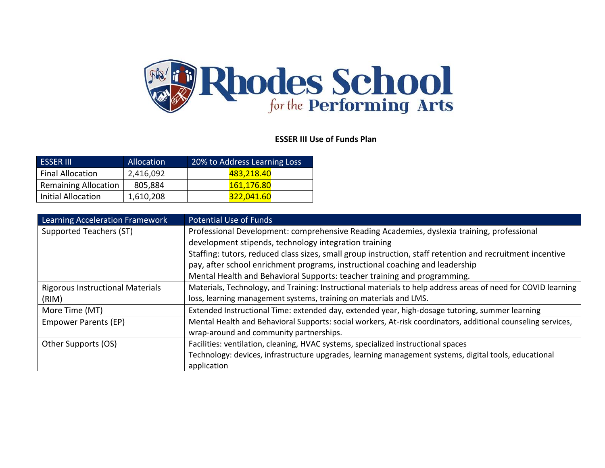

## **ESSER III Use of Funds Plan**

| <b>ESSER III</b>            | Allocation | 20% to Address Learning Loss |  |  |
|-----------------------------|------------|------------------------------|--|--|
| <b>Final Allocation</b>     | 2,416,092  | 483,218.40                   |  |  |
| <b>Remaining Allocation</b> | 805,884    | 161,176.80                   |  |  |
| <b>Initial Allocation</b>   | 1,610,208  | 322,041.60                   |  |  |

| Learning Acceleration Framework         | <b>Potential Use of Funds</b>                                                                                 |
|-----------------------------------------|---------------------------------------------------------------------------------------------------------------|
| Supported Teachers (ST)                 | Professional Development: comprehensive Reading Academies, dyslexia training, professional                    |
|                                         | development stipends, technology integration training                                                         |
|                                         | Staffing: tutors, reduced class sizes, small group instruction, staff retention and recruitment incentive     |
|                                         | pay, after school enrichment programs, instructional coaching and leadership                                  |
|                                         | Mental Health and Behavioral Supports: teacher training and programming.                                      |
| <b>Rigorous Instructional Materials</b> | Materials, Technology, and Training: Instructional materials to help address areas of need for COVID learning |
| (RIM)                                   | loss, learning management systems, training on materials and LMS.                                             |
| More Time (MT)                          | Extended Instructional Time: extended day, extended year, high-dosage tutoring, summer learning               |
| Empower Parents (EP)                    | Mental Health and Behavioral Supports: social workers, At-risk coordinators, additional counseling services,  |
|                                         | wrap-around and community partnerships.                                                                       |
| Other Supports (OS)                     | Facilities: ventilation, cleaning, HVAC systems, specialized instructional spaces                             |
|                                         | Technology: devices, infrastructure upgrades, learning management systems, digital tools, educational         |
|                                         | application                                                                                                   |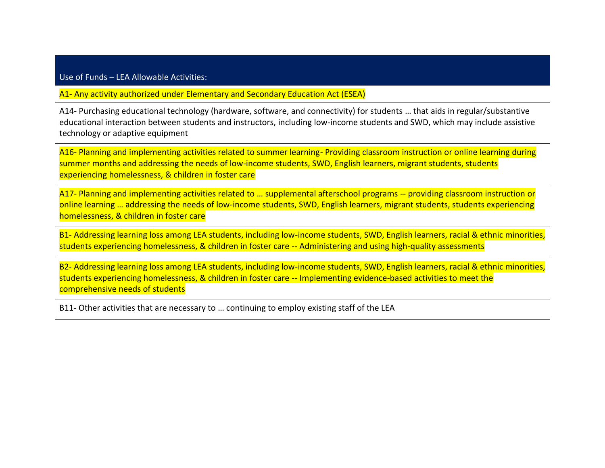## Use of Funds – LEA Allowable Activities:

A1- Any activity authorized under Elementary and Secondary Education Act (ESEA)

A14- Purchasing educational technology (hardware, software, and connectivity) for students … that aids in regular/substantive educational interaction between students and instructors, including low-income students and SWD, which may include assistive technology or adaptive equipment

A16- Planning and implementing activities related to summer learning- Providing classroom instruction or online learning during summer months and addressing the needs of low-income students, SWD, English learners, migrant students, students experiencing homelessness, & children in foster care

A17- Planning and implementing activities related to … supplemental afterschool programs -- providing classroom instruction or online learning … addressing the needs of low-income students, SWD, English learners, migrant students, students experiencing homelessness, & children in foster care

B1- Addressing learning loss among LEA students, including low-income students, SWD, English learners, racial & ethnic minorities, students experiencing homelessness, & children in foster care -- Administering and using high-quality assessments

B2- Addressing learning loss among LEA students, including low-income students, SWD, English learners, racial & ethnic minorities, students experiencing homelessness, & children in foster care -- Implementing evidence-based activities to meet the comprehensive needs of students

B11- Other activities that are necessary to … continuing to employ existing staff of the LEA